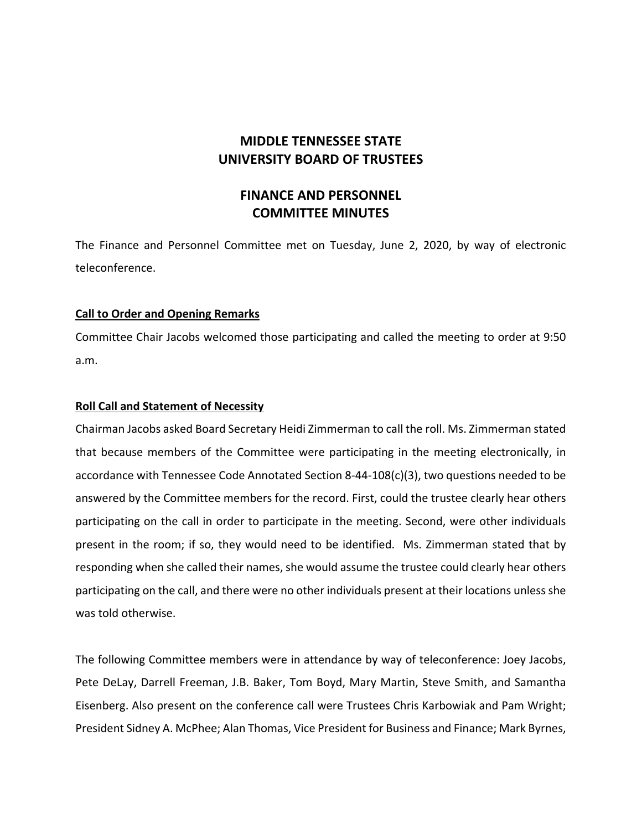# **MIDDLE TENNESSEE STATE UNIVERSITY BOARD OF TRUSTEES**

# **FINANCE AND PERSONNEL COMMITTEE MINUTES**

The Finance and Personnel Committee met on Tuesday, June 2, 2020, by way of electronic teleconference.

## **Call to Order and Opening Remarks**

Committee Chair Jacobs welcomed those participating and called the meeting to order at 9:50 a.m.

## **Roll Call and Statement of Necessity**

Chairman Jacobs asked Board Secretary Heidi Zimmerman to call the roll. Ms. Zimmerman stated that because members of the Committee were participating in the meeting electronically, in accordance with Tennessee Code Annotated Section 8‐44‐108(c)(3), two questions needed to be answered by the Committee members for the record. First, could the trustee clearly hear others participating on the call in order to participate in the meeting. Second, were other individuals present in the room; if so, they would need to be identified. Ms. Zimmerman stated that by responding when she called their names, she would assume the trustee could clearly hear others participating on the call, and there were no other individuals present at their locations unlessshe was told otherwise.

The following Committee members were in attendance by way of teleconference: Joey Jacobs, Pete DeLay, Darrell Freeman, J.B. Baker, Tom Boyd, Mary Martin, Steve Smith, and Samantha Eisenberg. Also present on the conference call were Trustees Chris Karbowiak and Pam Wright; President Sidney A. McPhee; Alan Thomas, Vice President for Business and Finance; Mark Byrnes,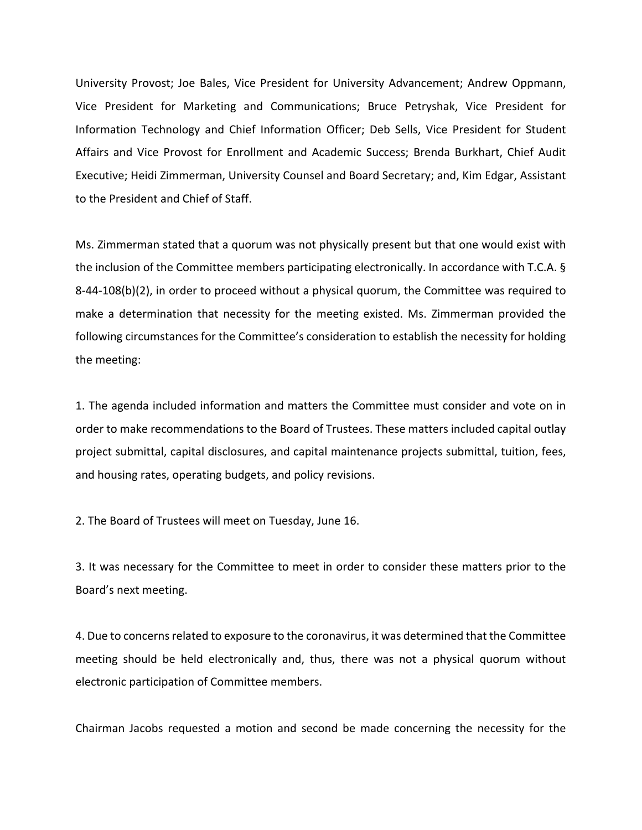University Provost; Joe Bales, Vice President for University Advancement; Andrew Oppmann, Vice President for Marketing and Communications; Bruce Petryshak, Vice President for Information Technology and Chief Information Officer; Deb Sells, Vice President for Student Affairs and Vice Provost for Enrollment and Academic Success; Brenda Burkhart, Chief Audit Executive; Heidi Zimmerman, University Counsel and Board Secretary; and, Kim Edgar, Assistant to the President and Chief of Staff.

Ms. Zimmerman stated that a quorum was not physically present but that one would exist with the inclusion of the Committee members participating electronically. In accordance with T.C.A. § 8‐44‐108(b)(2), in order to proceed without a physical quorum, the Committee was required to make a determination that necessity for the meeting existed. Ms. Zimmerman provided the following circumstances for the Committee's consideration to establish the necessity for holding the meeting:

1. The agenda included information and matters the Committee must consider and vote on in order to make recommendations to the Board of Trustees. These matters included capital outlay project submittal, capital disclosures, and capital maintenance projects submittal, tuition, fees, and housing rates, operating budgets, and policy revisions.

2. The Board of Trustees will meet on Tuesday, June 16.

3. It was necessary for the Committee to meet in order to consider these matters prior to the Board's next meeting.

4. Due to concerns related to exposure to the coronavirus, it was determined that the Committee meeting should be held electronically and, thus, there was not a physical quorum without electronic participation of Committee members.

Chairman Jacobs requested a motion and second be made concerning the necessity for the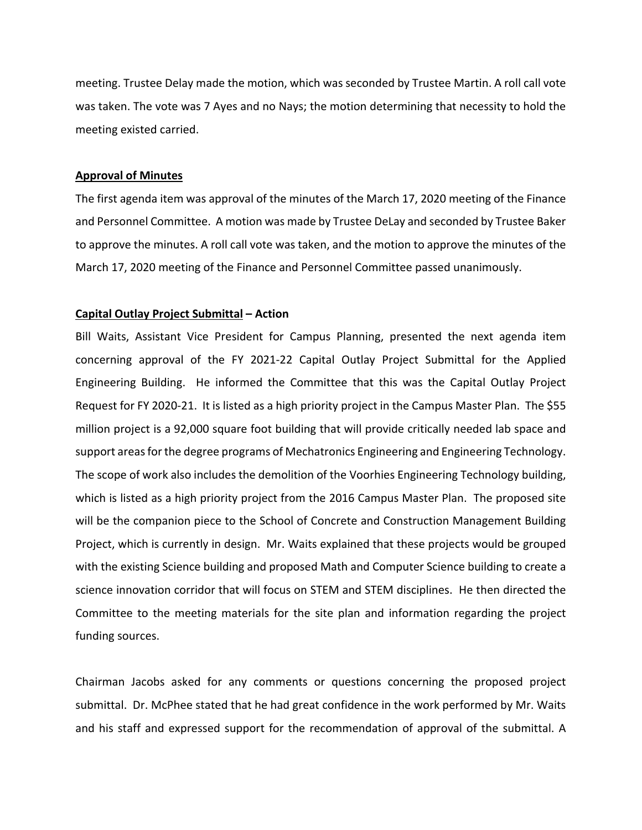meeting. Trustee Delay made the motion, which was seconded by Trustee Martin. A roll call vote was taken. The vote was 7 Ayes and no Nays; the motion determining that necessity to hold the meeting existed carried.

#### **Approval of Minutes**

The first agenda item was approval of the minutes of the March 17, 2020 meeting of the Finance and Personnel Committee. A motion was made by Trustee DeLay and seconded by Trustee Baker to approve the minutes. A roll call vote was taken, and the motion to approve the minutes of the March 17, 2020 meeting of the Finance and Personnel Committee passed unanimously.

## **Capital Outlay Project Submittal – Action**

Bill Waits, Assistant Vice President for Campus Planning, presented the next agenda item concerning approval of the FY 2021‐22 Capital Outlay Project Submittal for the Applied Engineering Building. He informed the Committee that this was the Capital Outlay Project Request for FY 2020‐21. It is listed as a high priority project in the Campus Master Plan. The \$55 million project is a 92,000 square foot building that will provide critically needed lab space and support areas for the degree programs of Mechatronics Engineering and Engineering Technology. The scope of work also includes the demolition of the Voorhies Engineering Technology building, which is listed as a high priority project from the 2016 Campus Master Plan. The proposed site will be the companion piece to the School of Concrete and Construction Management Building Project, which is currently in design. Mr. Waits explained that these projects would be grouped with the existing Science building and proposed Math and Computer Science building to create a science innovation corridor that will focus on STEM and STEM disciplines. He then directed the Committee to the meeting materials for the site plan and information regarding the project funding sources.

Chairman Jacobs asked for any comments or questions concerning the proposed project submittal. Dr. McPhee stated that he had great confidence in the work performed by Mr. Waits and his staff and expressed support for the recommendation of approval of the submittal. A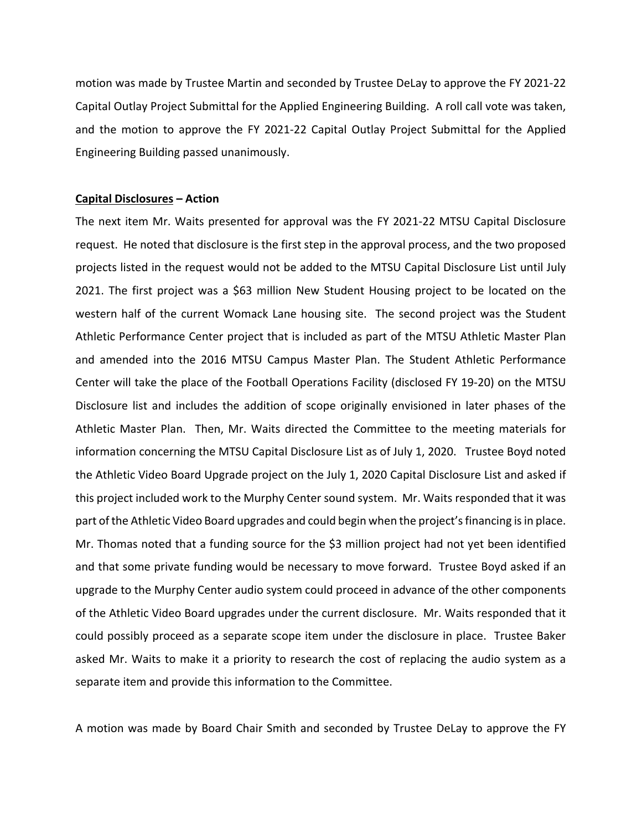motion was made by Trustee Martin and seconded by Trustee DeLay to approve the FY 2021‐22 Capital Outlay Project Submittal for the Applied Engineering Building. A roll call vote was taken, and the motion to approve the FY 2021‐22 Capital Outlay Project Submittal for the Applied Engineering Building passed unanimously.

#### **Capital Disclosures – Action**

The next item Mr. Waits presented for approval was the FY 2021‐22 MTSU Capital Disclosure request. He noted that disclosure is the first step in the approval process, and the two proposed projects listed in the request would not be added to the MTSU Capital Disclosure List until July 2021. The first project was a \$63 million New Student Housing project to be located on the western half of the current Womack Lane housing site. The second project was the Student Athletic Performance Center project that is included as part of the MTSU Athletic Master Plan and amended into the 2016 MTSU Campus Master Plan. The Student Athletic Performance Center will take the place of the Football Operations Facility (disclosed FY 19‐20) on the MTSU Disclosure list and includes the addition of scope originally envisioned in later phases of the Athletic Master Plan. Then, Mr. Waits directed the Committee to the meeting materials for information concerning the MTSU Capital Disclosure List as of July 1, 2020. Trustee Boyd noted the Athletic Video Board Upgrade project on the July 1, 2020 Capital Disclosure List and asked if this project included work to the Murphy Center sound system. Mr. Waits responded that it was part of the Athletic Video Board upgrades and could begin when the project'sfinancing isin place. Mr. Thomas noted that a funding source for the \$3 million project had not yet been identified and that some private funding would be necessary to move forward. Trustee Boyd asked if an upgrade to the Murphy Center audio system could proceed in advance of the other components of the Athletic Video Board upgrades under the current disclosure. Mr. Waits responded that it could possibly proceed as a separate scope item under the disclosure in place. Trustee Baker asked Mr. Waits to make it a priority to research the cost of replacing the audio system as a separate item and provide this information to the Committee.

A motion was made by Board Chair Smith and seconded by Trustee DeLay to approve the FY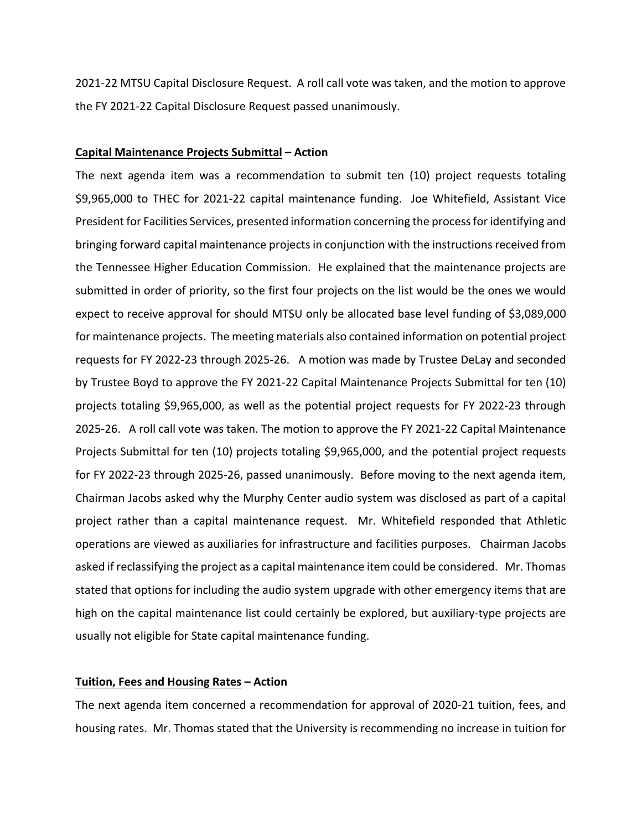2021‐22 MTSU Capital Disclosure Request. A roll call vote was taken, and the motion to approve the FY 2021‐22 Capital Disclosure Request passed unanimously.

#### **Capital Maintenance Projects Submittal – Action**

The next agenda item was a recommendation to submit ten (10) project requests totaling \$9,965,000 to THEC for 2021‐22 capital maintenance funding. Joe Whitefield, Assistant Vice President for Facilities Services, presented information concerning the processfor identifying and bringing forward capital maintenance projectsin conjunction with the instructions received from the Tennessee Higher Education Commission. He explained that the maintenance projects are submitted in order of priority, so the first four projects on the list would be the ones we would expect to receive approval for should MTSU only be allocated base level funding of \$3,089,000 for maintenance projects. The meeting materials also contained information on potential project requests for FY 2022‐23 through 2025‐26. A motion was made by Trustee DeLay and seconded by Trustee Boyd to approve the FY 2021‐22 Capital Maintenance Projects Submittal for ten (10) projects totaling \$9,965,000, as well as the potential project requests for FY 2022‐23 through 2025‐26. A roll call vote was taken. The motion to approve the FY 2021‐22 Capital Maintenance Projects Submittal for ten (10) projects totaling \$9,965,000, and the potential project requests for FY 2022‐23 through 2025‐26, passed unanimously. Before moving to the next agenda item, Chairman Jacobs asked why the Murphy Center audio system was disclosed as part of a capital project rather than a capital maintenance request. Mr. Whitefield responded that Athletic operations are viewed as auxiliaries for infrastructure and facilities purposes. Chairman Jacobs asked if reclassifying the project as a capital maintenance item could be considered. Mr. Thomas stated that options for including the audio system upgrade with other emergency items that are high on the capital maintenance list could certainly be explored, but auxiliary-type projects are usually not eligible for State capital maintenance funding.

## **Tuition, Fees and Housing Rates – Action**

The next agenda item concerned a recommendation for approval of 2020‐21 tuition, fees, and housing rates. Mr. Thomas stated that the University is recommending no increase in tuition for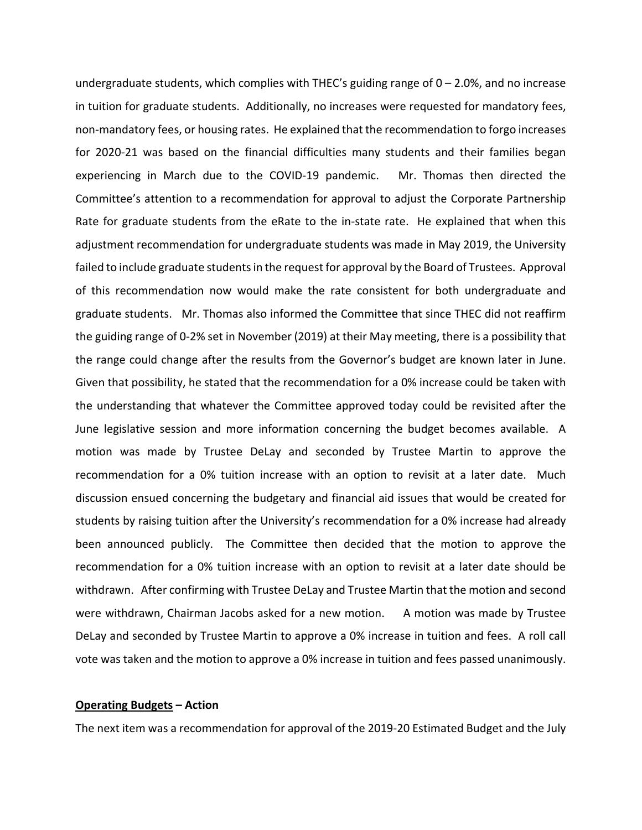undergraduate students, which complies with THEC's guiding range of  $0 - 2.0$ %, and no increase in tuition for graduate students. Additionally, no increases were requested for mandatory fees, non‐mandatory fees, or housing rates. He explained that the recommendation to forgo increases for 2020-21 was based on the financial difficulties many students and their families began experiencing in March due to the COVID‐19 pandemic. Mr. Thomas then directed the Committee's attention to a recommendation for approval to adjust the Corporate Partnership Rate for graduate students from the eRate to the in-state rate. He explained that when this adjustment recommendation for undergraduate students was made in May 2019, the University failed to include graduate studentsin the request for approval by the Board of Trustees. Approval of this recommendation now would make the rate consistent for both undergraduate and graduate students. Mr. Thomas also informed the Committee that since THEC did not reaffirm the guiding range of 0‐2% set in November (2019) at their May meeting, there is a possibility that the range could change after the results from the Governor's budget are known later in June. Given that possibility, he stated that the recommendation for a 0% increase could be taken with the understanding that whatever the Committee approved today could be revisited after the June legislative session and more information concerning the budget becomes available. A motion was made by Trustee DeLay and seconded by Trustee Martin to approve the recommendation for a 0% tuition increase with an option to revisit at a later date. Much discussion ensued concerning the budgetary and financial aid issues that would be created for students by raising tuition after the University's recommendation for a 0% increase had already been announced publicly. The Committee then decided that the motion to approve the recommendation for a 0% tuition increase with an option to revisit at a later date should be withdrawn. After confirming with Trustee DeLay and Trustee Martin that the motion and second were withdrawn, Chairman Jacobs asked for a new motion. A motion was made by Trustee DeLay and seconded by Trustee Martin to approve a 0% increase in tuition and fees. A roll call vote was taken and the motion to approve a 0% increase in tuition and fees passed unanimously.

#### **Operating Budgets – Action**

The next item was a recommendation for approval of the 2019‐20 Estimated Budget and the July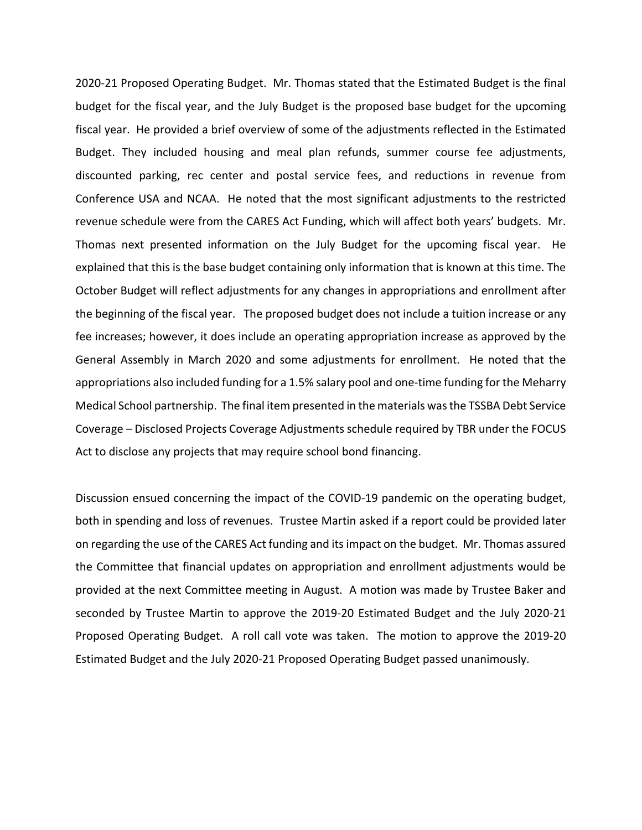2020‐21 Proposed Operating Budget. Mr. Thomas stated that the Estimated Budget is the final budget for the fiscal year, and the July Budget is the proposed base budget for the upcoming fiscal year. He provided a brief overview of some of the adjustments reflected in the Estimated Budget. They included housing and meal plan refunds, summer course fee adjustments, discounted parking, rec center and postal service fees, and reductions in revenue from Conference USA and NCAA. He noted that the most significant adjustments to the restricted revenue schedule were from the CARES Act Funding, which will affect both years' budgets. Mr. Thomas next presented information on the July Budget for the upcoming fiscal year. He explained that this is the base budget containing only information that is known at this time. The October Budget will reflect adjustments for any changes in appropriations and enrollment after the beginning of the fiscal year. The proposed budget does not include a tuition increase or any fee increases; however, it does include an operating appropriation increase as approved by the General Assembly in March 2020 and some adjustments for enrollment. He noted that the appropriations also included funding for a 1.5% salary pool and one‐time funding for the Meharry Medical School partnership. The final item presented in the materials wasthe TSSBA Debt Service Coverage – Disclosed Projects Coverage Adjustments schedule required by TBR under the FOCUS Act to disclose any projects that may require school bond financing.

Discussion ensued concerning the impact of the COVID‐19 pandemic on the operating budget, both in spending and loss of revenues. Trustee Martin asked if a report could be provided later on regarding the use of the CARES Act funding and itsimpact on the budget. Mr. Thomas assured the Committee that financial updates on appropriation and enrollment adjustments would be provided at the next Committee meeting in August. A motion was made by Trustee Baker and seconded by Trustee Martin to approve the 2019‐20 Estimated Budget and the July 2020‐21 Proposed Operating Budget. A roll call vote was taken. The motion to approve the 2019‐20 Estimated Budget and the July 2020‐21 Proposed Operating Budget passed unanimously.